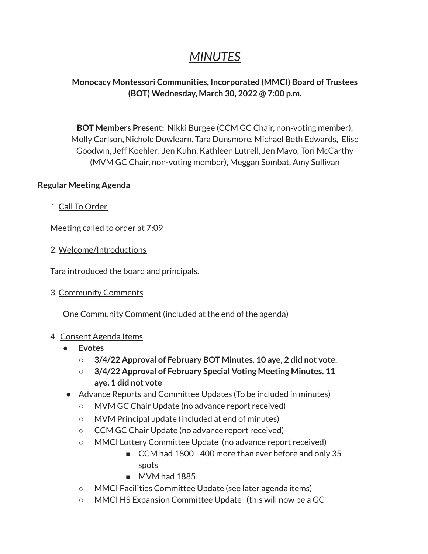# *MINUTES*

# **Monocacy Montessori Communities, Incorporated (MMCI) Board of Trustees (BOT) Wednesday, March 30, 2022 @ 7:00 p.m.**

**BOT Members Present:** Nikki Burgee (CCM GC Chair, non-voting member), Molly Carlson, Nichole Dowlearn, Tara Dunsmore, Michael Beth Edwards, Elise Goodwin, Jeff Koehler, Jen Kuhn, Kathleen Lutrell, Jen Mayo, Tori McCarthy (MVM GC Chair, non-voting member), Meggan Sombat, Amy Sullivan

### **Regular Meeting Agenda**

1. Call To Order

Meeting called to order at 7:09

2. Welcome/Introductions

Tara introduced the board and principals.

3. Community Comments

One Community Comment (included at the end of the agenda)

#### 4. Consent Agenda Items

- **● Evotes**
	- **3/4/22 Approval of February BOT Minutes. 10 aye, 2 did not vote.**
	- **3/4/22 Approval of February Special Voting Meeting Minutes. 11 aye, 1 did not vote**
- Advance Reports and Committee Updates (To be included in minutes)
	- MVM GC Chair Update (no advance report received)
	- MVM Principal update (included at end of minutes)
	- CCM GC Chair Update (no advance report received)
	- MMCI Lottery Committee Update (no advance report received)
		- CCM had 1800 400 more than ever before and only 35 spots
		- MVM had 1885
	- MMCI Facilities Committee Update (see later agenda items)
	- MMCI HS Expansion Committee Update (this will now be a GC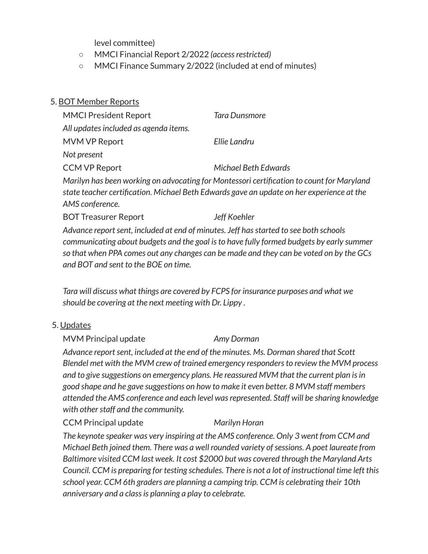level committee)

- MMCI Financial Report 2/2022 *(accessrestricted)*
- MMCI Finance Summary 2/2022 (included at end of minutes)

5. BOT Member Reports

| <b>MMCI President Report</b>          | Tara Dunsmore        |
|---------------------------------------|----------------------|
| All updates included as agenda items. |                      |
| MVM VP Report                         | Ellie Landru         |
| Not present                           |                      |
| <b>CCM VP Report</b>                  | Michael Beth Edwards |

*Marilyn has been working on advocating for Montessori certification to count for Maryland state teacher certification. Michael Beth Edwards gave an update on her experience at the AMS conference.*

BOT Treasurer Report *Jeff Koehler*

*Advance reportsent, included at end of minutes. Jeff hasstarted to see both schools communicating about budgets and the goal isto have fully formed budgets by early summer* so that when PPA comes out any changes can be made and they can be voted on by the GCs *and BOT and sent to the BOE on time.*

*Tara will discuss what things are covered by FCPS for insurance purposes and what we should be covering at the next meeting with Dr. Lippy .*

### 5. Updates

MVM Principal update *Amy Dorman*

*Advance reportsent, included at the end of the minutes. Ms. Dorman shared that Scott Blendel met with the MVM crew of trained emergency respondersto review the MVM process and to give suggestions on emergency plans. He reassured MVM that the current plan isin good shape and he gave suggestions on how to make it even better. 8 MVM staff members attended the AMS conference and each level wasrepresented. Staff will be sharing knowledge*  $with other staff and the community.$ 

### CCM Principal update *Marilyn Horan*

*The keynote speaker was very inspiring at the AMS conference. Only 3 went from CCM and Michael Beth joined them. There was a well rounded variety ofsessions. A poet laureate from Baltimore visited CCM last week. It cost \$2000 but was covered through the Maryland Arts Council. CCM is preparing for testing schedules. There is not a lot of instructional time left this school year. CCM 6th graders are planning a camping trip. CCM is celebrating their 10th anniversary and a classis planning a play to celebrate.*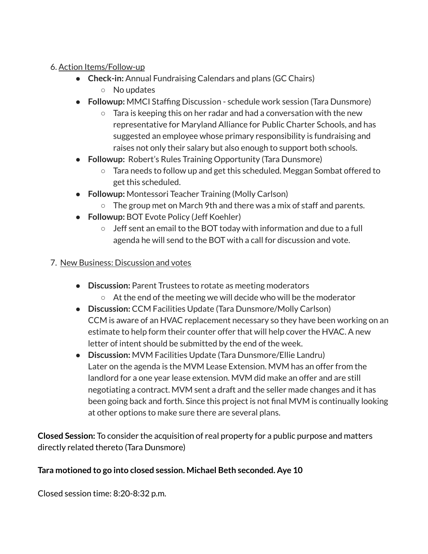## 6. Action Items/Follow-up

- **● Check-in:** Annual Fundraising Calendars and plans (GC Chairs)
	- No updates
- **Followup:** MMCI Staffing Discussion schedule work session (Tara Dunsmore)
	- Tara is keeping this on her radar and had a conversation with the new representative for Maryland Alliance for Public Charter Schools, and has suggested an employee whose primary responsibility is fundraising and raises not only their salary but also enough to support both schools.
- **Followup:** Robert's Rules Training Opportunity (Tara Dunsmore)
	- Tara needs to follow up and get this scheduled. Meggan Sombat offered to get this scheduled.
- **Followup:** Montessori Teacher Training (Molly Carlson)
	- The group met on March 9th and there was a mix of staff and parents.
- **● Followup:** BOT Evote Policy (Jeff Koehler)
	- Jeff sent an email to the BOT today with information and due to a full agenda he will send to the BOT with a call for discussion and vote.

# 7. New Business: Discussion and votes

- **● Discussion:** Parent Trustees to rotate as meeting moderators
	- At the end of the meeting we will decide who will be the moderator
- **● Discussion:** CCM Facilities Update (Tara Dunsmore/Molly Carlson) CCM is aware of an HVAC replacement necessary so they have been working on an estimate to help form their counter offer that will help cover the HVAC. A new letter of intent should be submitted by the end of the week.
- **● Discussion:** MVM Facilities Update (Tara Dunsmore/Ellie Landru) Later on the agenda is the MVM Lease Extension. MVM has an offer from the landlord for a one year lease extension. MVM did make an offer and are still negotiating a contract. MVM sent a draft and the seller made changes and it has been going back and forth. Since this project is not final MVM is continually looking at other options to make sure there are several plans.

**Closed Session:** To consider the acquisition of real property for a public purpose and matters directly related thereto (Tara Dunsmore)

# **Tara motioned to go into closed session. Michael Beth seconded. Aye 10**

Closed session time: 8:20-8:32 p.m.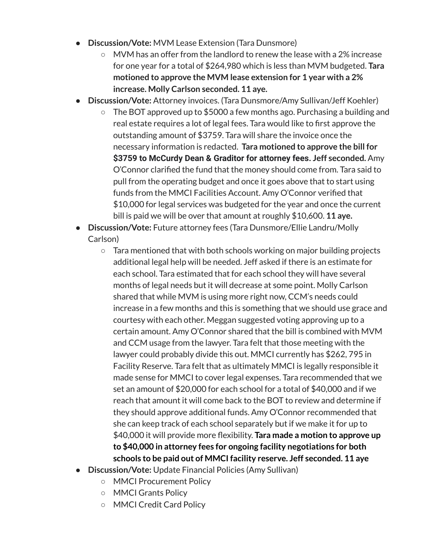- **● Discussion/Vote:** MVM Lease Extension (Tara Dunsmore)
	- MVM has an offer from the landlord to renew the lease with a 2% increase for one year for a total of \$264,980 which is less than MVM budgeted. **Tara motioned to approve the MVM lease extension for 1 year with a 2% increase. Molly Carlson seconded. 11 aye.**
- **● Discussion/Vote:** Attorney invoices. (Tara Dunsmore/Amy Sullivan/Jeff Koehler)
	- $\circ$  The BOT approved up to \$5000 a few months ago. Purchasing a building and real estate requires a lot of legal fees. Tara would like to first approve the outstanding amount of \$3759. Tara will share the invoice once the necessary information is redacted. **Tara motioned to approve the bill for \$3759 to McCurdy Dean & Graditor for attorney fees. Jeff seconded.** Amy O'Connor clarified the fund that the money should come from. Tara said to pull from the operating budget and once it goes above that to start using funds from the MMCI Facilities Account. Amy O'Connor verified that \$10,000 for legal services was budgeted for the year and once the current bill is paid we will be over that amount at roughly \$10,600. **11 aye.**
- **● Discussion/Vote:** Future attorney fees (Tara Dunsmore/Ellie Landru/Molly Carlson)
	- Tara mentioned that with both schools working on major building projects additional legal help will be needed. Jeff asked if there is an estimate for each school. Tara estimated that for each school they will have several months of legal needs but it will decrease at some point. Molly Carlson shared that while MVM is using more right now, CCM's needs could increase in a few months and this is something that we should use grace and courtesy with each other. Meggan suggested voting approving up to a certain amount. Amy O'Connor shared that the bill is combined with MVM and CCM usage from the lawyer. Tara felt that those meeting with the lawyer could probably divide this out. MMCI currently has \$262, 795 in Facility Reserve. Tara felt that as ultimately MMCI is legally responsible it made sense for MMCI to cover legal expenses. Tara recommended that we set an amount of \$20,000 for each school for a total of \$40,000 and if we reach that amount it will come back to the BOT to review and determine if they should approve additional funds. Amy O'Connor recommended that she can keep track of each school separately but if we make it for up to \$40,000 it will provide more flexibility. **Tara made a motion to approve up to \$40,000 in attorney fees for ongoing facility negotiations for both schools to be paid out of MMCI facility reserve. Jeff seconded. 11 aye**
- **● Discussion/Vote:** Update Financial Policies (Amy Sullivan)
	- MMCI Procurement Policy
	- MMCI Grants Policy
	- MMCI Credit Card Policy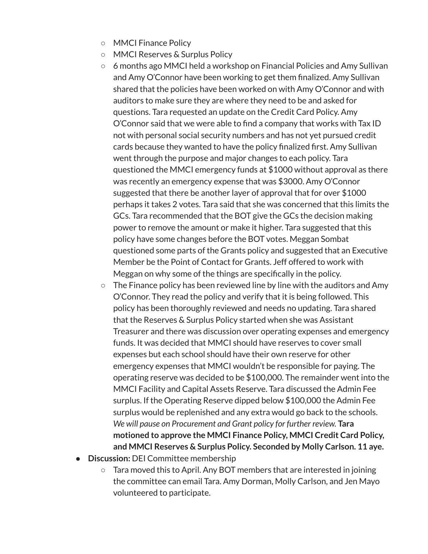- MMCI Finance Policy
- MMCI Reserves & Surplus Policy
- 6 months ago MMCI held a workshop on Financial Policies and Amy Sullivan and Amy O'Connor have been working to get them finalized. Amy Sullivan shared that the policies have been worked on with Amy O'Connor and with auditors to make sure they are where they need to be and asked for questions. Tara requested an update on the Credit Card Policy. Amy O'Connor said that we were able to find a company that works with Tax ID not with personal social security numbers and has not yet pursued credit cards because they wanted to have the policy finalized first. Amy Sullivan went through the purpose and major changes to each policy. Tara questioned the MMCI emergency funds at \$1000 without approval as there was recently an emergency expense that was \$3000. Amy O'Connor suggested that there be another layer of approval that for over \$1000 perhaps it takes 2 votes. Tara said that she was concerned that this limits the GCs. Tara recommended that the BOT give the GCs the decision making power to remove the amount or make it higher. Tara suggested that this policy have some changes before the BOT votes. Meggan Sombat questioned some parts of the Grants policy and suggested that an Executive Member be the Point of Contact for Grants. Jeff offered to work with Meggan on why some of the things are specifically in the policy.
- The Finance policy has been reviewed line by line with the auditors and Amy O'Connor. They read the policy and verify that it is being followed. This policy has been thoroughly reviewed and needs no updating. Tara shared that the Reserves & Surplus Policy started when she was Assistant Treasurer and there was discussion over operating expenses and emergency funds. It was decided that MMCI should have reserves to cover small expenses but each school should have their own reserve for other emergency expenses that MMCI wouldn't be responsible for paying. The operating reserve was decided to be \$100,000. The remainder went into the MMCI Facility and Capital Assets Reserve. Tara discussed the Admin Fee surplus. If the Operating Reserve dipped below \$100,000 the Admin Fee surplus would be replenished and any extra would go back to the schools. *We will pause on Procurement and Grant policy for further review.* **Tara motioned to approve the MMCI Finance Policy, MMCI Credit Card Policy, and MMCI Reserves & Surplus Policy. Seconded by Molly Carlson. 11 aye.**
- **Discussion:** DEI Committee membership
	- Tara moved this to April. Any BOT members that are interested in joining the committee can email Tara. Amy Dorman, Molly Carlson, and Jen Mayo volunteered to participate.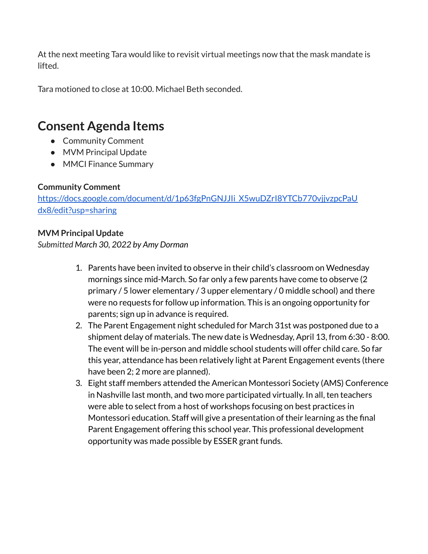At the next meeting Tara would like to revisit virtual meetings now that the mask mandate is lifted.

Tara motioned to close at 10:00. Michael Beth seconded.

# **Consent Agenda Items**

- Community Comment
- MVM Principal Update
- MMCI Finance Summary

### **Community Comment**

[https://docs.google.com/document/d/1p63fgPnGNJJIi\\_X5wuDZrI8YTCb770vjjvzpcPaU](https://docs.google.com/document/d/1p63fgPnGNJJIi_X5wuDZrI8YTCb770vjjvzpcPaUdx8/edit?usp=sharing) [dx8/edit?usp=sharing](https://docs.google.com/document/d/1p63fgPnGNJJIi_X5wuDZrI8YTCb770vjjvzpcPaUdx8/edit?usp=sharing)

## **MVM Principal Update**

*Submitted March 30, 2022 by Amy Dorman*

- 1. Parents have been invited to observe in their child's classroom on Wednesday mornings since mid-March. So far only a few parents have come to observe (2 primary / 5 lower elementary / 3 upper elementary / 0 middle school) and there were no requests for follow up information. This is an ongoing opportunity for parents; sign up in advance is required.
- 2. The Parent Engagement night scheduled for March 31st was postponed due to a shipment delay of materials. The new date is Wednesday, April 13, from 6:30 - 8:00. The event will be in-person and middle school students will offer child care. So far this year, attendance has been relatively light at Parent Engagement events (there have been 2; 2 more are planned).
- 3. Eight staff members attended the American Montessori Society (AMS) Conference in Nashville last month, and two more participated virtually. In all, ten teachers were able to select from a host of workshops focusing on best practices in Montessori education. Staff will give a presentation of their learning as the final Parent Engagement offering this school year. This professional development opportunity was made possible by ESSER grant funds.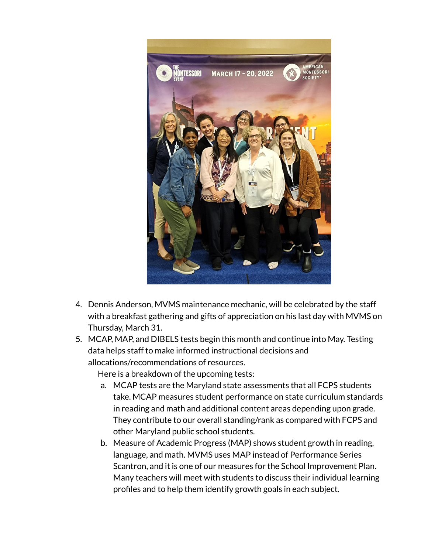

- 4. Dennis Anderson, MVMS maintenance mechanic, will be celebrated by the staff with a breakfast gathering and gifts of appreciation on his last day with MVMS on Thursday, March 31.
- 5. MCAP, MAP, and DIBELS tests begin this month and continue into May. Testing data helps staff to make informed instructional decisions and allocations/recommendations of resources.

Here is a breakdown of the upcoming tests:

- a. MCAP tests are the Maryland state assessments that all FCPS students take. MCAP measures student performance on state curriculum standards in reading and math and additional content areas depending upon grade. They contribute to our overall standing/rank as compared with FCPS and other Maryland public school students.
- b. Measure of Academic Progress (MAP) shows student growth in reading, language, and math. MVMS uses MAP instead of Performance Series Scantron, and it is one of our measures for the School Improvement Plan. Many teachers will meet with students to discuss their individual learning profiles and to help them identify growth goals in each subject.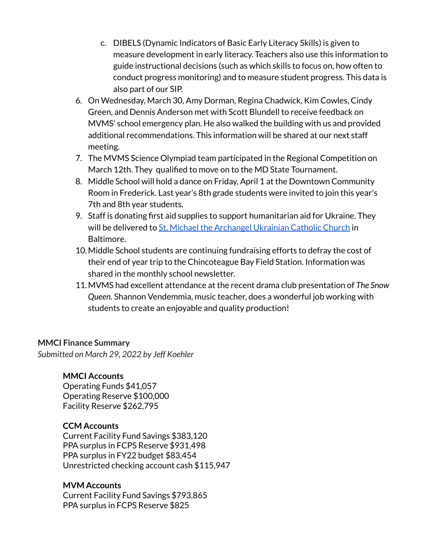- c. DIBELS (Dynamic Indicators of Basic Early Literacy Skills) is given to measure development in early literacy. Teachers also use this information to guide instructional decisions (such as which skills to focus on, how often to conduct progress monitoring) and to measure student progress. This data is also part of our SIP.
- 6. On Wednesday, March 30, Amy Dorman, Regina Chadwick, Kim Cowles, Cindy Green, and Dennis Anderson met with Scott Blundell to receive feedback on MVMS' school emergency plan. He also walked the building with us and provided additional recommendations. This information will be shared at our next staff meeting.
- 7. The MVMS Science Olympiad team participated in the Regional Competition on March 12th. They qualified to move on to the MD State Tournament.
- 8. Middle School will hold a dance on Friday, April 1 at the Downtown Community Room in Frederick. Last year's 8th grade students were invited to join this year's 7th and 8th year students.
- 9. Staff is donating first aid supplies to support humanitarian aid for Ukraine. They will be delivered to St. Michael the [Archangel](https://www.stmichaelukrainiancatholicbaltimore.org/) Ukrainian Catholic Church in Baltimore.
- 10.Middle School students are continuing fundraising efforts to defray the cost of their end of year trip to the Chincoteague Bay Field Station. Information was shared in the monthly school newsletter.
- 11.MVMS had excellent attendance at the recent drama club presentation of *The Snow Queen.* Shannon Vendemmia, music teacher, does a wonderful job working with students to create an enjoyable and quality production!

### **MMCI Finance Summary**

*Submitted on March 29, 2022 by Jeff Koehler*

### **MMCI Accounts**

Operating Funds \$41,057 Operating Reserve \$100,000 Facility Reserve \$262,795

### **CCM Accounts**

Current Facility Fund Savings \$383,120 PPA surplus in FCPS Reserve \$931,498 PPA surplus in FY22 budget \$83,454 Unrestricted checking account cash \$115,947

### **MVM Accounts**

Current Facility Fund Savings \$793,865 PPA surplus in FCPS Reserve \$825